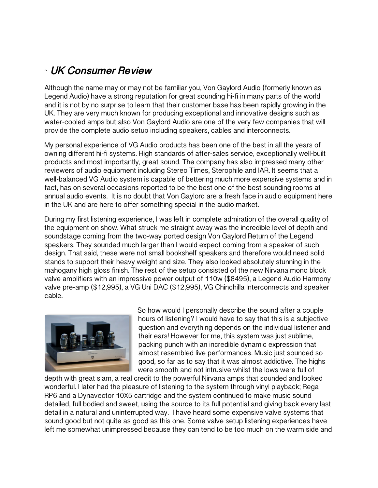## ˜ **UK Consumer Review**

Although the name may or may not be familiar you, Von Gaylord Audio (formerly known as Legend Audio) have a strong reputation for great sounding hi-fi in many parts of the world and it is not by no surprise to learn that their customer base has been rapidly growing in the UK. They are very much known for producing exceptional and innovative designs such as water-cooled amps but also Von Gaylord Audio are one of the very few companies that will provide the complete audio setup including speakers, cables and interconnects.

My personal experience of VG Audio products has been one of the best in all the years of owning different hi-fi systems. High standards of after-sales service, exceptionally well-built products and most importantly, great sound. The company has also impressed many other reviewers of audio equipment including Stereo Times, Sterophile and IAR. It seems that a well-balanced VG Audio system is capable of bettering much more expensive systems and in fact, has on several occasions reported to be the best one of the best sounding rooms at annual audio events. It is no doubt that Von Gaylord are a fresh face in audio equipment here in the UK and are here to offer something special in the audio market.

During my first listening experience, I was left in complete admiration of the overall quality of the equipment on show. What struck me straight away was the incredible level of depth and soundstage coming from the two-way ported design Von Gaylord Return of the Legend speakers. They sounded much larger than I would expect coming from a speaker of such design. That said, these were not small bookshelf speakers and therefore would need solid stands to support their heavy weight and size. They also looked absolutely stunning in the mahogany high gloss finish. The rest of the setup consisted of the new Nirvana mono block valve amplifiers with an impressive power output of 110w (\$8495), a Legend Audio Harmony valve pre-amp (\$12,995), a VG Uni DAC (\$12,995), VG Chinchilla Interconnects and speaker cable.



So how would I personally describe the sound after a couple hours of listening? I would have to say that this is a subjective question and everything depends on the individual listener and their ears! However for me, this system was just sublime, packing punch with an incredible dynamic expression that almost resembled live performances. Music just sounded so good, so far as to say that it was almost addictive. The highs were smooth and not intrusive whilst the lows were full of

depth with great slam, a real credit to the powerful Nirvana amps that sounded and looked wonderful. I later had the pleasure of listening to the system through vinyl playback; Rega RP6 and a Dynavector 10X5 cartridge and the system continued to make music sound detailed, full bodied and sweet, using the source to its full potential and giving back every last detail in a natural and uninterrupted way. I have heard some expensive valve systems that sound good but not quite as good as this one. Some valve setup listening experiences have left me somewhat unimpressed because they can tend to be too much on the warm side and